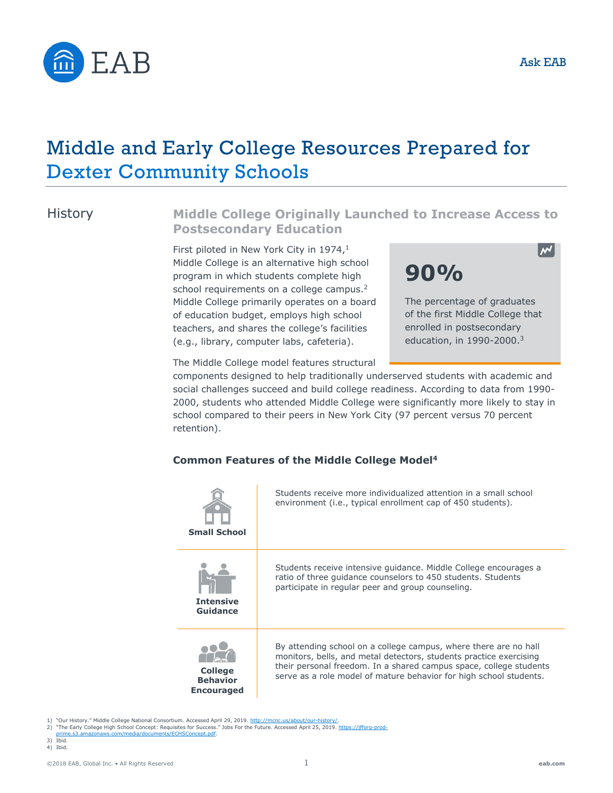

# Middle and Early College Resources Prepared for Dexter Community Schools

## **History**

## **Middle College Originally Launched to Increase Access to Postsecondary Education**

First piloted in New York City in 1974,<sup>1</sup> Middle College is an alternative high school program in which students complete high school requirements on a college campus.<sup>2</sup> Middle College primarily operates on a board of education budget, employs high school teachers, and shares the college's facilities (e.g., library, computer labs, cafeteria).



The Middle College model features structural

components designed to help traditionally underserved students with academic and po social challenges succeed and build college readiness. According to data from 1990-2000, students who attended Middle College were significantly more likely to stay in school compared to their peers in New York City (97 percent versus 70 percent retention).

#### **Common Features of the Middle College Model<sup>4</sup>**

| <b>Small School</b>                                    | Students receive more individualized attention in a small school<br>environment (i.e., typical enrollment cap of 450 students).                                                                                                                                                    |
|--------------------------------------------------------|------------------------------------------------------------------------------------------------------------------------------------------------------------------------------------------------------------------------------------------------------------------------------------|
| <b>Intensive</b><br>Guidance                           | Students receive intensive quidance. Middle College encourages a<br>ratio of three quidance counselors to 450 students. Students<br>participate in regular peer and group counseling.                                                                                              |
| <b>College</b><br><b>Behavior</b><br><b>Encouraged</b> | By attending school on a college campus, where there are no hall<br>monitors, bells, and metal detectors, students practice exercising<br>their personal freedom. In a shared campus space, college students<br>serve as a role model of mature behavior for high school students. |

1) "Our History." Middle College National Consortium. Accessed April 29, 2019. http://mcnc.us/about/our-h

- 2) "The Early College High School Concept: Requisites for Success." Jobs For the Future. Accessed April 25, 2019. https://jfforg-prod-<br>2) "The Early College High School Concept: Requisites for Success." Jobs For the Future
- com/media/documents/ECHSConcept.pdf.
- 3) Ibid. 4) Ibid.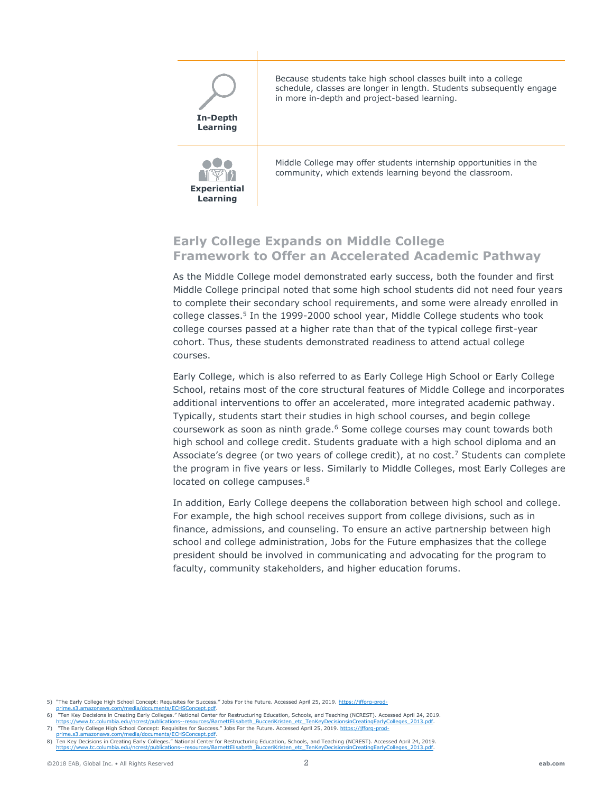

Because students take high school classes built into a college schedule, classes are longer in length. Students subsequently engage in more in-depth and project-based learning.



Middle College may offer students internship opportunities in the community, which extends learning beyond the classroom.

## **Early College Expands on Middle College Framework to Offer an Accelerated Academic Pathway**

As the Middle College model demonstrated early success, both the founder and first Middle College principal noted that some high school students did not need four years to complete their secondary school requirements, and some were already enrolled in college classes. 5 In the 1999-2000 school year, Middle College students who took college courses passed at a higher rate than that of the typical college first-year cohort. Thus, these students demonstrated readiness to attend actual college courses.

Early College, which is also referred to as Early College High School or Early College School, retains most of the core structural features of Middle College and incorporates additional interventions to offer an accelerated, more integrated academic pathway. Typically, students start their studies in high school courses, and begin college coursework as soon as ninth grade.<sup>6</sup> Some college courses may count towards both high school and college credit. Students graduate with a high school diploma and an Associate's degree (or two years of college credit), at no cost.<sup>7</sup> Students can complete the program in five years or less. Similarly to Middle Colleges, most Early Colleges are located on college campuses.<sup>8</sup>

In addition, Early College deepens the collaboration between high school and college. For example, the high school receives support from college divisions, such as in finance, admissions, and counseling. To ensure an active partnership between high school and college administration, Jobs for the Future emphasizes that the college president should be involved in communicating and advocating for the program to faculty, community stakeholders, and higher education forums.

<sup>5)</sup> "The Early College High School Concept: Requisites for Success." Jobs For the Future. Accessed April 25, 2019. [https://jfforg-prod](https://jfforg-prod-prime.s3.amazonaws.com/media/documents/ECHSConcept.pdf)[prime.s3.amazonaws.com/media/documents/ECHSConcept.pdf.](https://jfforg-prod-prime.s3.amazonaws.com/media/documents/ECHSConcept.pdf)

<sup>6) &</sup>quot;Ten Key Decisions in Creating Early Colleges." National Center for Restructuring Education, Schools, and Teaching (NCREST). Accessed April 24, 2019.<br>https://www.tc.columbia.edu/ncrest/publications--resources/BarnettEli https://www.tc.combia.edu/ncrest/barnettElisabeth\_BucceriColleges\_2013.pdf

<sup>7) &</sup>quot;The Early College High School Concept: Requisites for Success." Jobs For the Future. Accessed April 25, 2019. [https://jfforg-prod-](https://jfforg-prod-prime.s3.amazonaws.com/media/documents/ECHSConcept.pdf)

uments/ECHSConcept.pdf

<sup>8)</sup> Ten Key Decisions in Creating Early Colleges." National Center for Restructuring Education, Schools, and Teaching (NCREST). Accessed April 24, 2019.<br>https://www.tc.columbia.edu/ncrest/publications-resources/BarnettElisa [https://www.tc.columbia.edu/ncrest/publications--resources/BarnettElisabeth\\_BucceriKristen\\_etc\\_TenKeyDecisionsinCreatingEarlyColleges\\_2013.pdf.](https://www.tc.columbia.edu/ncrest/publications--resources/BarnettElisabeth_BucceriKristen_etc_TenKeyDecisionsinCreatingEarlyColleges_2013.pdf)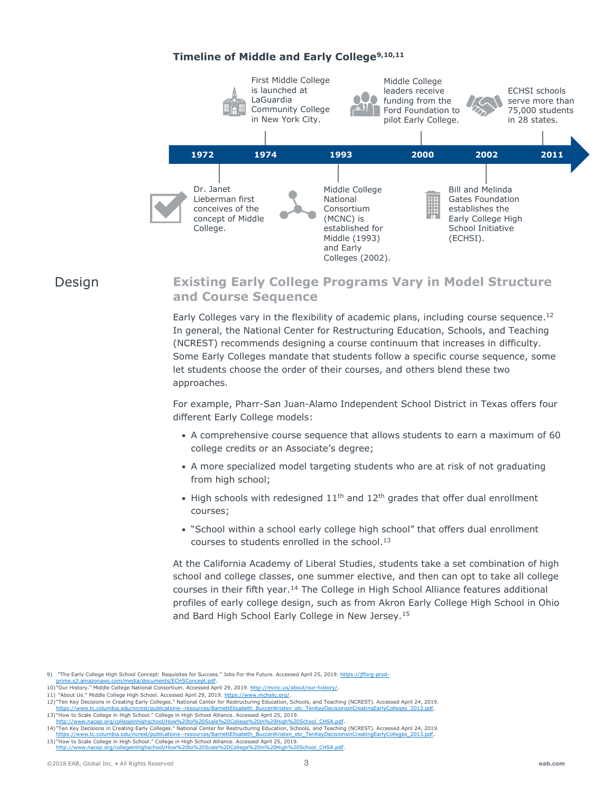#### **Timeline of Middle and Early College9,10,11**



Design

## **Existing Early College Programs Vary in Model Structure and Course Sequence**

Early Colleges vary in the flexibility of academic plans, including course sequence.<sup>12</sup> In general, the National Center for Restructuring Education, Schools, and Teaching (NCREST) recommends designing a course continuum that increases in difficulty. Some Early Colleges mandate that students follow a specific course sequence, some let students choose the order of their courses, and others blend these two approaches.

For example, Pharr-San Juan-Alamo Independent School District in Texas offers four different Early College models:

- A comprehensive course sequence that allows students to earn a maximum of 60 college credits or an Associate's degree;
- A more specialized model targeting students who are at risk of not graduating from high school;
- High schools with redesigned  $11<sup>th</sup>$  and  $12<sup>th</sup>$  grades that offer dual enrollment courses;
- "School within a school early college high school" that offers dual enrollment courses to students enrolled in the school. 13

At the California Academy of Liberal Studies, students take a set combination of high school and college classes, one summer elective, and then can opt to take all college courses in their fifth year.<sup>14</sup> The College in High School Alliance features additional profiles of early college design, such as from Akron Early College High School in Ohio and Bard High School Early College in New Jersey.<sup>15</sup>

<sup>9) &</sup>quot;The Early College High School Concept: Requisites for Success." Jobs For the Future. Accessed April 25, 2019. https://jfforg-prod-<br>nrime S3 amazonaws com/media/documents/ECHSConcept ndf nts/ECHSConcept.pdf.

<sup>10)</sup> "Our History." Middle College National Consortium. Accessed April 29, 2019[. http://mcnc.us/about/our-history/.](http://mcnc.us/about/our-history/) 11) "About Us." Middle College High School. Accessed April 29, 2019. [https://www.mchslic.org/.](https://www.mchslic.org/)

<sup>12)</sup> "Ten Key Decisions in Creating Early Colleges." National Center for Restructuring Education, Schools, and Teaching (NCREST). Accessed April 24, 2019. [https://www.tc.columbia.edu/ncrest/publications--resources/BarnettElisabeth\\_BucceriKristen\\_etc\\_TenKeyDecisionsinCreatingEarlyColleges\\_2013.pdf.](https://www.tc.columbia.edu/ncrest/publications--resources/BarnettElisabeth_BucceriKristen_etc_TenKeyDecisionsinCreatingEarlyColleges_2013.pdf)

<sup>13)</sup> "How to Scale College in High School." College in High School Alliance. Accessed April 25, 2019. [http://www.nacep.org/collegeinhighschool/How%20to%20Scale%20College%20in%20High%20School\\_CHSA.pdf.](http://www.nacep.org/collegeinhighschool/How%20to%20Scale%20College%20in%20High%20School_CHSA.pdf)

<sup>14)</sup> "Ten Key Decisions in Creating Early Colleges." National Center for Restructuring Education, Schools, and Teaching (NCREST). Accessed April 24, 2019. [https://www.tc.columbia.edu/ncrest/publications--resources/BarnettElisabeth\\_BucceriKristen\\_etc\\_TenKeyDecisionsinCreatingEarlyColleges\\_2013.pdf.](https://www.tc.columbia.edu/ncrest/publications--resources/BarnettElisabeth_BucceriKristen_etc_TenKeyDecisionsinCreatingEarlyColleges_2013.pdf) 15) "How to Scale College in High School." College in High School Alliance. Accessed April 25, 2019.

[http://www.nacep.org/collegeinhighschool/How%20to%20Scale%20College%20in%20High%20School\\_CHSA.pdf.](http://www.nacep.org/collegeinhighschool/How%20to%20Scale%20College%20in%20High%20School_CHSA.pdf)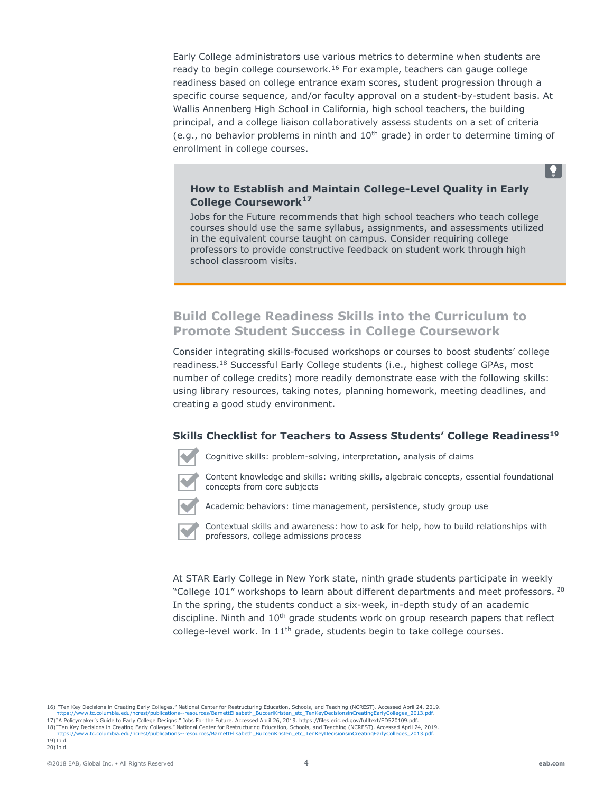Early College administrators use various metrics to determine when students are ready to begin college coursework.<sup>16</sup> For example, teachers can gauge college readiness based on college entrance exam scores, student progression through a specific course sequence, and/or faculty approval on a student-by-student basis. At Wallis Annenberg High School in California, high school teachers, the building principal, and a college liaison collaboratively assess students on a set of criteria (e.g., no behavior problems in ninth and  $10<sup>th</sup>$  grade) in order to determine timing of enrollment in college courses.

#### **How to Establish and Maintain College-Level Quality in Early College Coursework<sup>17</sup>**

Jobs for the Future recommends that high school teachers who teach college courses should use the same syllabus, assignments, and assessments utilized in the equivalent course taught on campus. Consider requiring college professors to provide constructive feedback on student work through high school classroom visits.

## **Build College Readiness Skills into the Curriculum to Promote Student Success in College Coursework**

Consider integrating skills-focused workshops or courses to boost students' college readiness.<sup>18</sup> Successful Early College students (i.e., highest college GPAs, most number of college credits) more readily demonstrate ease with the following skills: using library resources, taking notes, planning homework, meeting deadlines, and creating a good study environment.

#### **Skills Checklist for Teachers to Assess Students' College Readiness<sup>19</sup>**



Cognitive skills: problem-solving, interpretation, analysis of claims

Content knowledge and skills: writing skills, algebraic concepts, essential foundational concepts from core subjects



Academic behaviors: time management, persistence, study group use



Contextual skills and awareness: how to ask for help, how to build relationships with professors, college admissions process

At STAR Early College in New York state, ninth grade students participate in weekly "College  $101$ " workshops to learn about different departments and meet professors.  $20$ In the spring, the students conduct a six-week, in-depth study of an academic discipline. Ninth and  $10<sup>th</sup>$  grade students work on group research papers that reflect college-level work. In 11<sup>th</sup> grade, students begin to take college courses.

16) "Ten Key Decisions in Creating Early Colleges." National Center for Restructuring Education, Schools, and Teaching (NCREST). Accessed April 24, 2019.

[https://www.tc.columbia.edu/ncrest/publications--resources/BarnettElisabeth\\_BucceriKristen\\_etc\\_TenKeyDecisionsinCreatingEarlyColleges\\_2013.pdf.](https://www.tc.columbia.edu/ncrest/publications--resources/BarnettElisabeth_BucceriKristen_etc_TenKeyDecisionsinCreatingEarlyColleges_2013.pdf) 17)"A Policymaker's Guide to Early College Designs." Jobs For the Future. Accessed April 26, 2019. https://files.eric.ed.gov/fulltext/ED520109.pdf.<br>18)"Ten Key Decisions in Creating Early Colleges." National Center for Res [https://www.tc.columbia.edu/ncrest/publications--resources/BarnettElisabeth\\_BucceriKristen\\_etc\\_TenKeyDecisionsinCreatingEarlyColleges\\_2013.pdf.](https://www.tc.columbia.edu/ncrest/publications--resources/BarnettElisabeth_BucceriKristen_etc_TenKeyDecisionsinCreatingEarlyColleges_2013.pdf) 19) Ibid.

 $\mathbf{P}$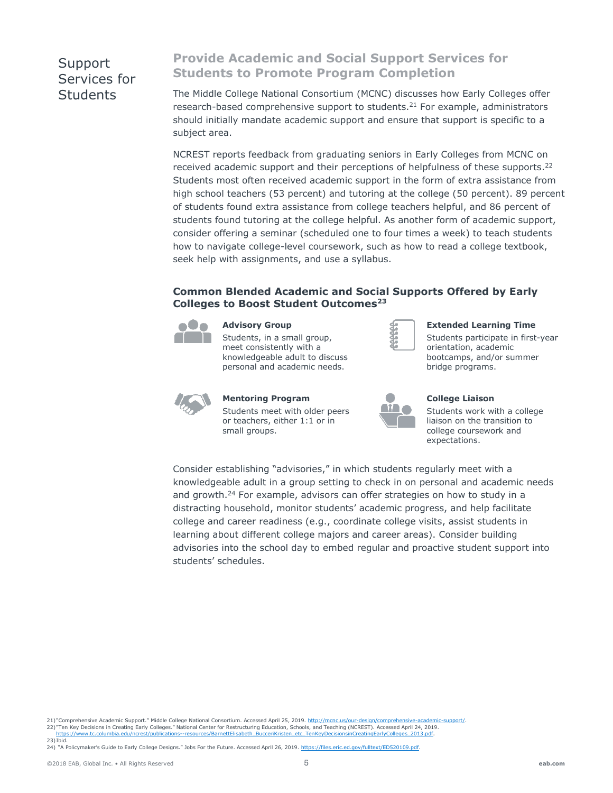## Support Services for **Students**

## **Provide Academic and Social Support Services for Students to Promote Program Completion**

The Middle College National Consortium (MCNC) discusses how Early Colleges offer research-based comprehensive support to students.<sup>21</sup> For example, administrators should initially mandate academic support and ensure that support is specific to a subject area.

NCREST reports feedback from graduating seniors in Early Colleges from MCNC on received academic support and their perceptions of helpfulness of these supports.<sup>22</sup> Students most often received academic support in the form of extra assistance from high school teachers (53 percent) and tutoring at the college (50 percent). 89 percent of students found extra assistance from college teachers helpful, and 86 percent of students found tutoring at the college helpful. As another form of academic support, consider offering a seminar (scheduled one to four times a week) to teach students how to navigate college-level coursework, such as how to read a college textbook, seek help with assignments, and use a syllabus.

#### **Common Blended Academic and Social Supports Offered by Early Colleges to Boost Student Outcomes<sup>23</sup>**



#### **Advisory Group**

Students, in a small group, meet consistently with a knowledgeable adult to discuss personal and academic needs.



#### **Extended Learning Time**

Students participate in first-year orientation, academic bootcamps, and/or summer bridge programs.



**Mentoring Program** Students meet with older peers or teachers, either 1:1 or in small groups.



#### **College Liaison**

Students work with a college liaison on the transition to college coursework and expectations.

Consider establishing "advisories," in which students regularly meet with a knowledgeable adult in a group setting to check in on personal and academic needs and growth.<sup>24</sup> For example, advisors can offer strategies on how to study in a distracting household, monitor students' academic progress, and help facilitate college and career readiness (e.g., coordinate college visits, assist students in learning about different college majors and career areas). Consider building advisories into the school day to embed regular and proactive student support into students' schedules.

21) "Comprehensive Academic Support." Middle College National Consortium. Accessed April 25, 2019. http://mcnc.us/o

.22) "Ten Key Decisions in Creating Early Colleges." National Center for Restructuring Education, Schools, and Teaching (NCREST). Accessed April 24, 2019<br>.https://www.tc.columbia.edu/ncrest/publications--resources/BarnettE

 $23)$  Ibid.